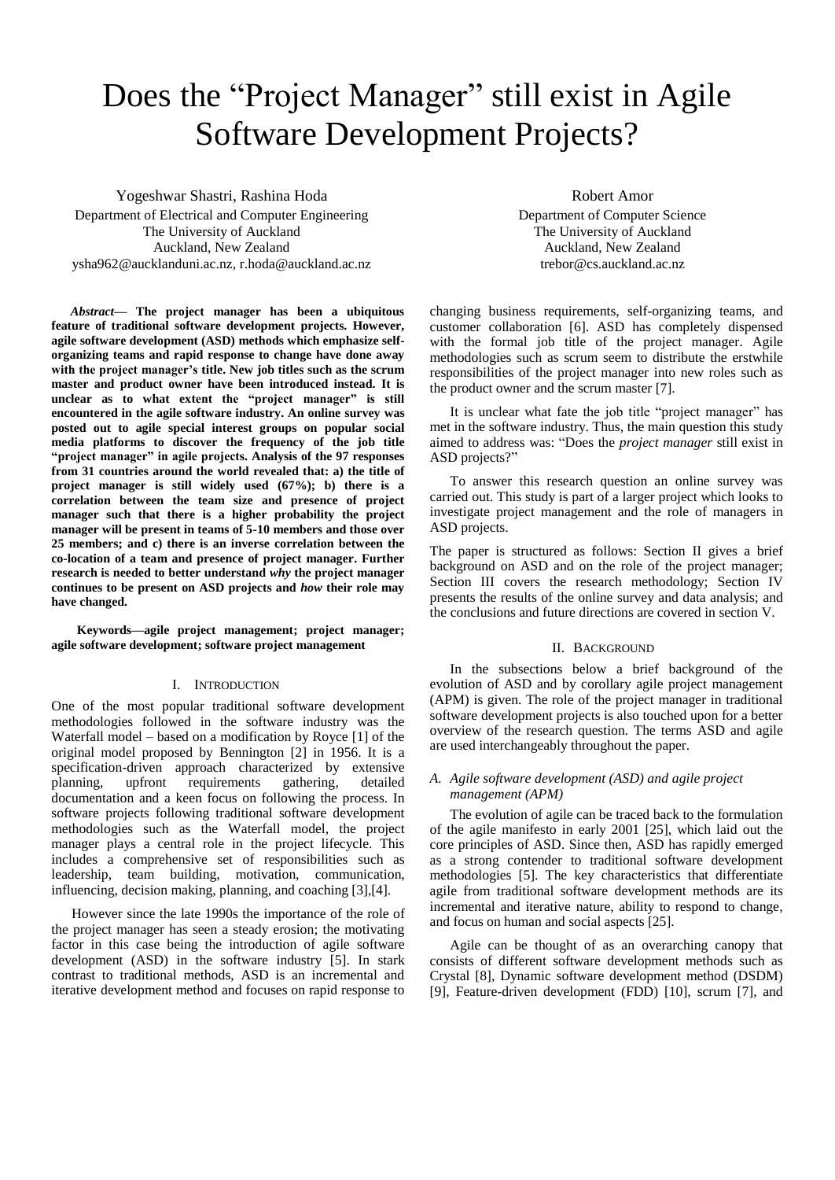# Does the "Project Manager" still exist in Agile Software Development Projects?

Yogeshwar Shastri, Rashina Hoda Department of Electrical and Computer Engineering The University of Auckland Auckland, New Zealand ysha962@aucklanduni.ac.nz, r.hoda@auckland.ac.nz

*Abstract***— The project manager has been a ubiquitous feature of traditional software development projects. However, agile software development (ASD) methods which emphasize selforganizing teams and rapid response to change have done away with the project manager's title. New job titles such as the scrum master and product owner have been introduced instead. It is unclear as to what extent the "project manager" is still encountered in the agile software industry. An online survey was posted out to agile special interest groups on popular social media platforms to discover the frequency of the job title "project manager" in agile projects. Analysis of the 97 responses from 31 countries around the world revealed that: a) the title of project manager is still widely used (67%); b) there is a correlation between the team size and presence of project manager such that there is a higher probability the project manager will be present in teams of 5-10 members and those over 25 members; and c) there is an inverse correlation between the co-location of a team and presence of project manager. Further research is needed to better understand** *why* **the project manager continues to be present on ASD projects and** *how* **their role may have changed.**

 **Keywords—agile project management; project manager; agile software development; software project management**

# I. INTRODUCTION

One of the most popular traditional software development methodologies followed in the software industry was the Waterfall model – based on a modification by Royce [1] of the original model proposed by Bennington [2] in 1956. It is a specification-driven approach characterized by extensive planning, upfront requirements gathering, detailed documentation and a keen focus on following the process. In software projects following traditional software development methodologies such as the Waterfall model, the project manager plays a central role in the project lifecycle. This includes a comprehensive set of responsibilities such as leadership, team building, motivation, communication, influencing, decision making, planning, and coaching [3],[4].

However since the late 1990s the importance of the role of the project manager has seen a steady erosion; the motivating factor in this case being the introduction of agile software development (ASD) in the software industry [5]. In stark contrast to traditional methods, ASD is an incremental and iterative development method and focuses on rapid response to

Robert Amor Department of Computer Science The University of Auckland Auckland, New Zealand trebor@cs.auckland.ac.nz

changing business requirements, self-organizing teams, and customer collaboration [6]. ASD has completely dispensed with the formal job title of the project manager. Agile methodologies such as scrum seem to distribute the erstwhile responsibilities of the project manager into new roles such as the product owner and the scrum master [7].

It is unclear what fate the job title "project manager" has met in the software industry. Thus, the main question this study aimed to address was: "Does the *project manager* still exist in ASD projects?"

To answer this research question an online survey was carried out. This study is part of a larger project which looks to investigate project management and the role of managers in ASD projects.

The paper is structured as follows: Section II gives a brief background on ASD and on the role of the project manager; Section III covers the research methodology; Section IV presents the results of the online survey and data analysis; and the conclusions and future directions are covered in section V.

#### II. BACKGROUND

In the subsections below a brief background of the evolution of ASD and by corollary agile project management (APM) is given. The role of the project manager in traditional software development projects is also touched upon for a better overview of the research question. The terms ASD and agile are used interchangeably throughout the paper.

# *A. Agile software development (ASD) and agile project management (APM)*

The evolution of agile can be traced back to the formulation of the agile manifesto in early 2001 [25], which laid out the core principles of ASD. Since then, ASD has rapidly emerged as a strong contender to traditional software development methodologies [5]. The key characteristics that differentiate agile from traditional software development methods are its incremental and iterative nature, ability to respond to change, and focus on human and social aspects [25].

Agile can be thought of as an overarching canopy that consists of different software development methods such as Crystal [8], Dynamic software development method (DSDM) [9], Feature-driven development (FDD) [10], scrum [7], and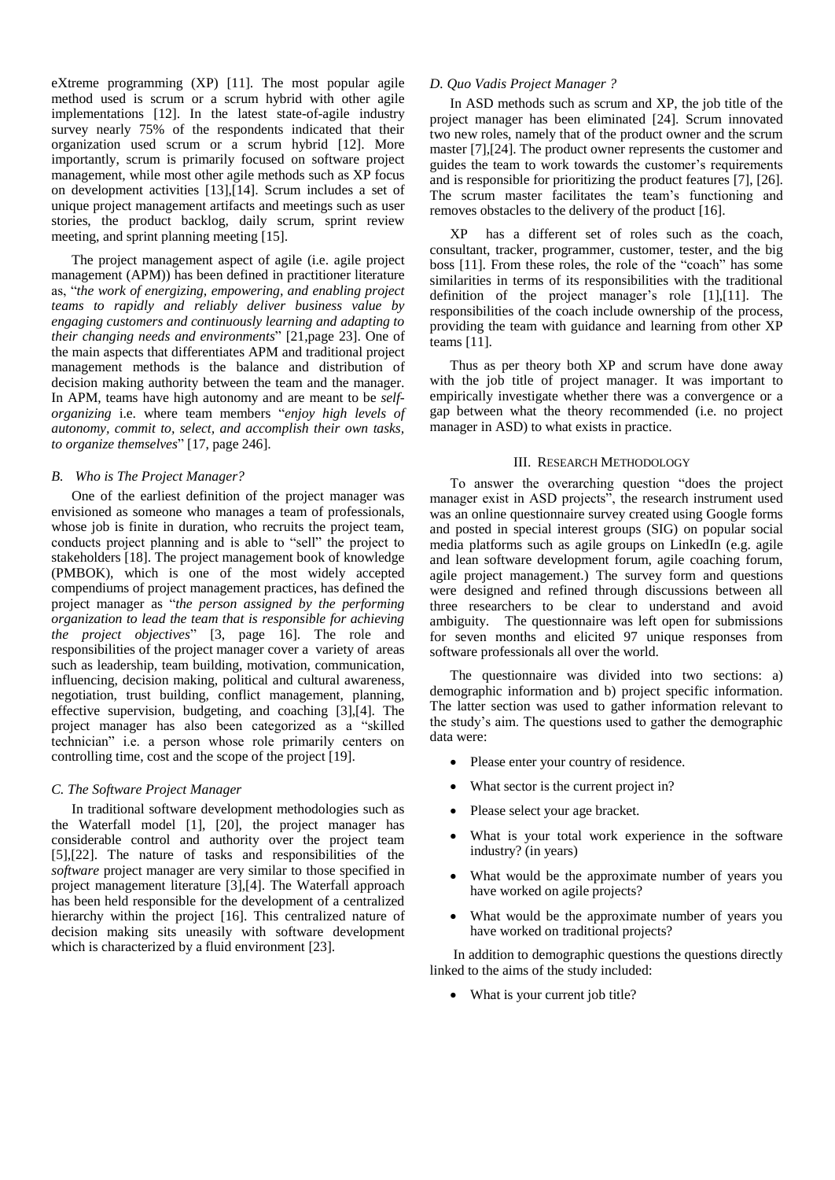eXtreme programming (XP) [11]. The most popular agile method used is scrum or a scrum hybrid with other agile implementations [12]. In the latest state-of-agile industry survey nearly 75% of the respondents indicated that their organization used scrum or a scrum hybrid [12]. More importantly, scrum is primarily focused on software project management, while most other agile methods such as XP focus on development activities [13],[14]. Scrum includes a set of unique project management artifacts and meetings such as user stories, the product backlog, daily scrum, sprint review meeting, and sprint planning meeting [15].

The project management aspect of agile (i.e. agile project management (APM)) has been defined in practitioner literature as, "*the work of energizing, empowering, and enabling project teams to rapidly and reliably deliver business value by engaging customers and continuously learning and adapting to their changing needs and environments*" [21,page 23]. One of the main aspects that differentiates APM and traditional project management methods is the balance and distribution of decision making authority between the team and the manager. In APM, teams have high autonomy and are meant to be *selforganizing* i.e. where team members "*enjoy high levels of autonomy, commit to, select, and accomplish their own tasks, to organize themselves*" [17, page 246].

# *B. Who is The Project Manager?*

One of the earliest definition of the project manager was envisioned as someone who manages a team of professionals, whose job is finite in duration, who recruits the project team, conducts project planning and is able to "sell" the project to stakeholders [18]. The project management book of knowledge (PMBOK), which is one of the most widely accepted compendiums of project management practices, has defined the project manager as "*the person assigned by the performing organization to lead the team that is responsible for achieving the project objectives*" [3, page 16]. The role and responsibilities of the project manager cover a variety of areas such as leadership, team building, motivation, communication, influencing, decision making, political and cultural awareness, negotiation, trust building, conflict management, planning, effective supervision, budgeting, and coaching [3],[4]. The project manager has also been categorized as a "skilled technician" i.e. a person whose role primarily centers on controlling time, cost and the scope of the project [19].

# *C. The Software Project Manager*

In traditional software development methodologies such as the Waterfall model [1], [20], the project manager has considerable control and authority over the project team [5],[22]. The nature of tasks and responsibilities of the *software* project manager are very similar to those specified in project management literature [3],[4]. The Waterfall approach has been held responsible for the development of a centralized hierarchy within the project [16]. This centralized nature of decision making sits uneasily with software development which is characterized by a fluid environment [23].

# *D. Quo Vadis Project Manager ?*

In ASD methods such as scrum and XP, the job title of the project manager has been eliminated [24]. Scrum innovated two new roles, namely that of the product owner and the scrum master [7],[24]. The product owner represents the customer and guides the team to work towards the customer"s requirements and is responsible for prioritizing the product features [7], [26]. The scrum master facilitates the team's functioning and removes obstacles to the delivery of the product [16].

XP has a different set of roles such as the coach, consultant, tracker, programmer, customer, tester, and the big boss [11]. From these roles, the role of the "coach" has some similarities in terms of its responsibilities with the traditional definition of the project manager's role [1],[11]. The responsibilities of the coach include ownership of the process, providing the team with guidance and learning from other XP teams [11].

Thus as per theory both XP and scrum have done away with the job title of project manager. It was important to empirically investigate whether there was a convergence or a gap between what the theory recommended (i.e. no project manager in ASD) to what exists in practice.

#### III. RESEARCH METHODOLOGY

To answer the overarching question "does the project manager exist in ASD projects", the research instrument used was an online questionnaire survey created using Google forms and posted in special interest groups (SIG) on popular social media platforms such as agile groups on LinkedIn (e.g. agile and lean software development forum, agile coaching forum, agile project management.) The survey form and questions were designed and refined through discussions between all three researchers to be clear to understand and avoid ambiguity. The questionnaire was left open for submissions for seven months and elicited 97 unique responses from software professionals all over the world.

The questionnaire was divided into two sections: a) demographic information and b) project specific information. The latter section was used to gather information relevant to the study"s aim. The questions used to gather the demographic data were:

- Please enter your country of residence.
- What sector is the current project in?
- Please select your age bracket.
- What is your total work experience in the software industry? (in years)
- What would be the approximate number of years you have worked on agile projects?
- What would be the approximate number of years you have worked on traditional projects?

In addition to demographic questions the questions directly linked to the aims of the study included:

• What is your current job title?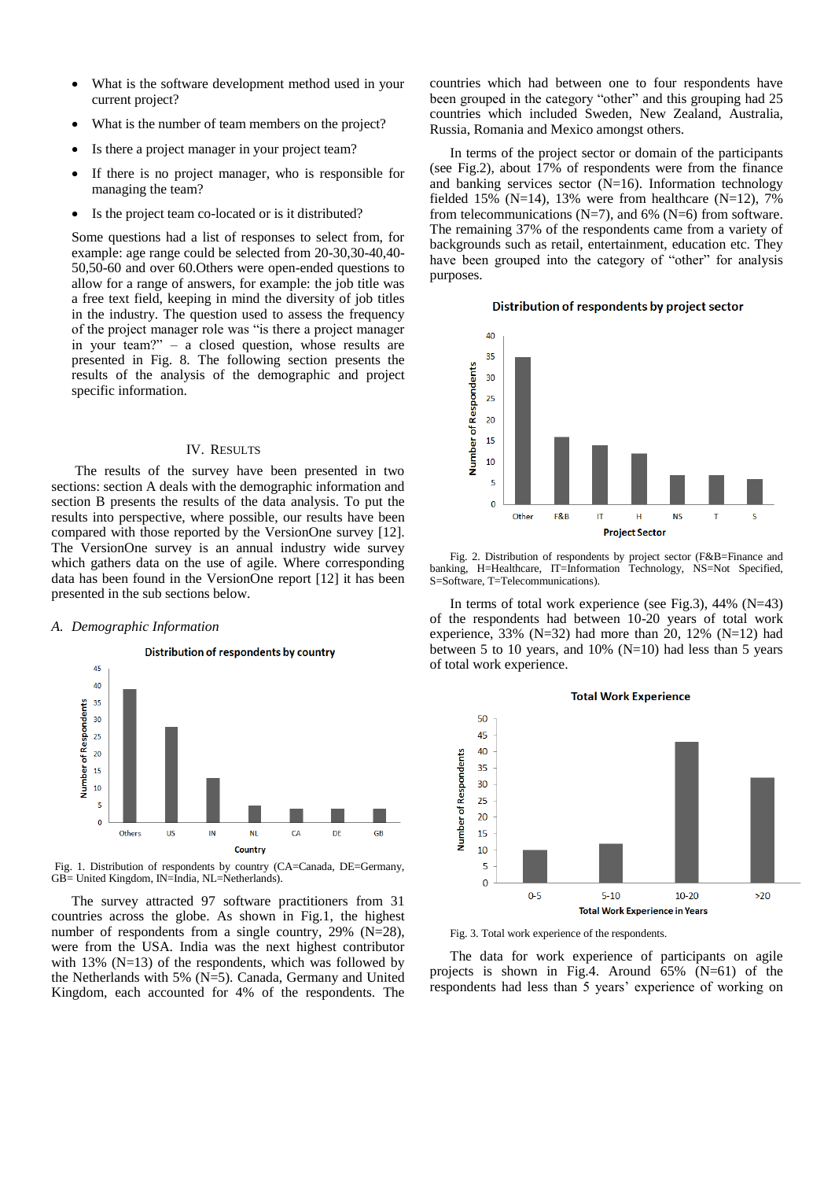- What is the software development method used in your current project?
- What is the number of team members on the project?
- Is there a project manager in your project team?
- If there is no project manager, who is responsible for managing the team?
- Is the project team co-located or is it distributed?

Some questions had a list of responses to select from, for example: age range could be selected from 20-30,30-40,40- 50,50-60 and over 60.Others were open-ended questions to allow for a range of answers, for example: the job title was a free text field, keeping in mind the diversity of job titles in the industry. The question used to assess the frequency of the project manager role was "is there a project manager in your team?" – a closed question, whose results are presented in Fig. 8. The following section presents the results of the analysis of the demographic and project specific information.

#### IV. RESULTS

The results of the survey have been presented in two sections: section A deals with the demographic information and section B presents the results of the data analysis. To put the results into perspective, where possible, our results have been compared with those reported by the VersionOne survey [12]. The VersionOne survey is an annual industry wide survey which gathers data on the use of agile. Where corresponding data has been found in the VersionOne report [12] it has been presented in the sub sections below.

#### *A. Demographic Information*



Fig. 1. Distribution of respondents by country (CA=Canada, DE=Germany, GB= United Kingdom, IN=India, NL=Netherlands).

The survey attracted 97 software practitioners from 31 countries across the globe. As shown in Fig.1, the highest number of respondents from a single country, 29% (N=28), were from the USA. India was the next highest contributor with 13% ( $N=13$ ) of the respondents, which was followed by the Netherlands with 5% (N=5). Canada, Germany and United Kingdom, each accounted for 4% of the respondents. The

countries which had between one to four respondents have been grouped in the category "other" and this grouping had 25 countries which included Sweden, New Zealand, Australia, Russia, Romania and Mexico amongst others.

In terms of the project sector or domain of the participants (see Fig.2), about 17% of respondents were from the finance and banking services sector  $(N=16)$ . Information technology fielded 15% (N=14), 13% were from healthcare (N=12), 7% from telecommunications ( $N=7$ ), and 6% ( $N=6$ ) from software. The remaining 37% of the respondents came from a variety of backgrounds such as retail, entertainment, education etc. They have been grouped into the category of "other" for analysis purposes.

# Distribution of respondents by project sector



Fig. 2. Distribution of respondents by project sector (F&B=Finance and banking, H=Healthcare, IT=Information Technology, NS=Not Specified, S=Software, T=Telecommunications).

In terms of total work experience (see Fig.3), 44% (N=43) of the respondents had between 10-20 years of total work experience, 33% (N=32) had more than 20, 12% (N=12) had between 5 to 10 years, and 10% ( $N=10$ ) had less than 5 years of total work experience.



**Total Work Experience** 

Fig. 3. Total work experience of the respondents.

The data for work experience of participants on agile projects is shown in Fig.4. Around 65% (N=61) of the respondents had less than 5 years' experience of working on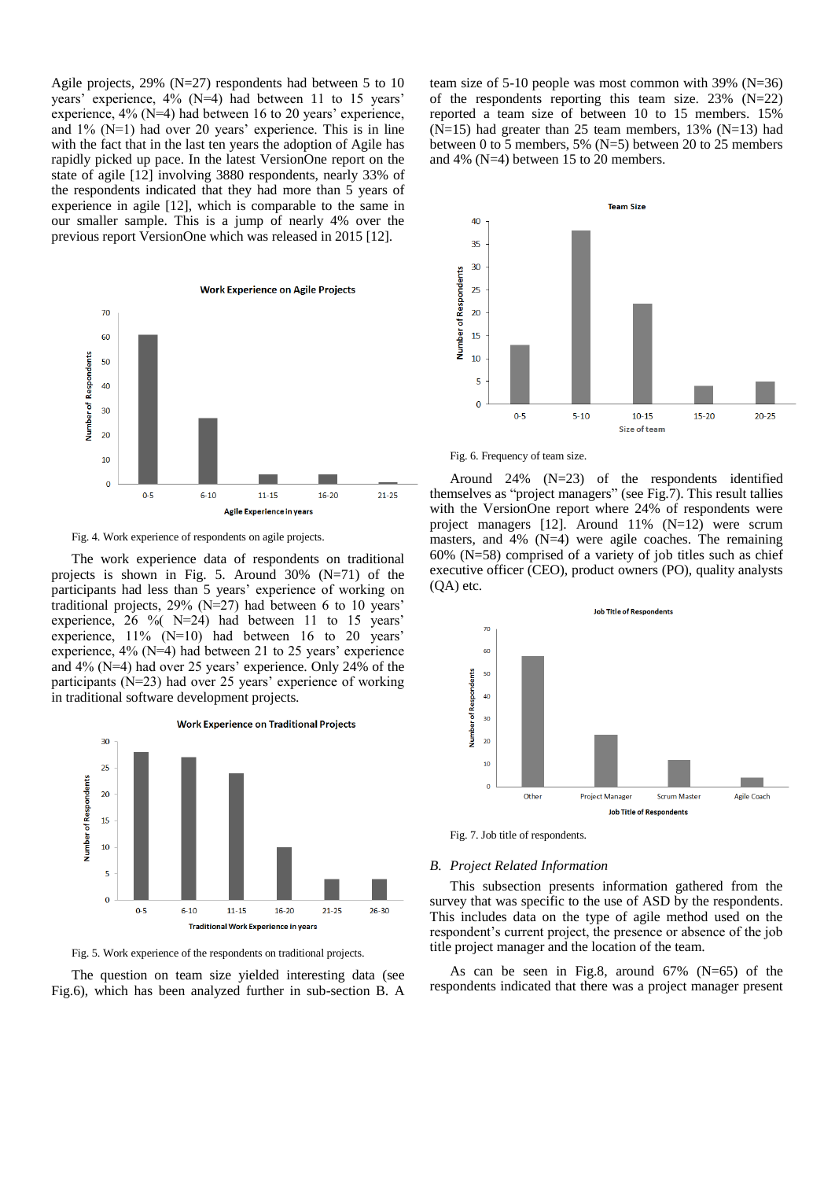Agile projects, 29% (N=27) respondents had between 5 to 10 years' experience, 4% (N=4) had between 11 to 15 years' experience,  $4\%$  (N=4) had between 16 to 20 years' experience, and  $1\%$  (N=1) had over 20 years' experience. This is in line with the fact that in the last ten years the adoption of Agile has rapidly picked up pace. In the latest VersionOne report on the state of agile [12] involving 3880 respondents, nearly 33% of the respondents indicated that they had more than 5 years of experience in agile [12], which is comparable to the same in our smaller sample. This is a jump of nearly 4% over the previous report VersionOne which was released in 2015 [12].



Fig. 4. Work experience of respondents on agile projects.

The work experience data of respondents on traditional projects is shown in Fig. 5. Around 30% (N=71) of the participants had less than 5 years' experience of working on traditional projects,  $29\%$  (N=27) had between 6 to 10 years experience,  $26 \frac{6}{1}$  N=24) had between 11 to 15 years' experience,  $11\%$  (N=10) had between 16 to 20 years' experience,  $4\%$  (N=4) had between 21 to 25 years' experience and 4% (N=4) had over 25 years' experience. Only 24% of the participants ( $N=23$ ) had over 25 years' experience of working in traditional software development projects.



Fig. 5. Work experience of the respondents on traditional projects.

The question on team size yielded interesting data (see Fig.6), which has been analyzed further in sub-section B. A

team size of 5-10 people was most common with 39% (N=36) of the respondents reporting this team size. 23%  $(N=22)$ reported a team size of between 10 to 15 members. 15%  $(N=15)$  had greater than 25 team members, 13%  $(N=13)$  had between 0 to 5 members, 5% (N=5) between 20 to 25 members and 4% (N=4) between 15 to 20 members.



Fig. 6. Frequency of team size.

Around 24% (N=23) of the respondents identified themselves as "project managers" (see Fig.7). This result tallies with the VersionOne report where 24% of respondents were project managers [12]. Around 11% (N=12) were scrum masters, and 4% (N=4) were agile coaches. The remaining 60% (N=58) comprised of a variety of job titles such as chief executive officer (CEO), product owners (PO), quality analysts (QA) etc.



Fig. 7. Job title of respondents.

#### *B. Project Related Information*

This subsection presents information gathered from the survey that was specific to the use of ASD by the respondents. This includes data on the type of agile method used on the respondent"s current project, the presence or absence of the job title project manager and the location of the team.

As can be seen in Fig.8, around  $67\%$  (N=65) of the respondents indicated that there was a project manager present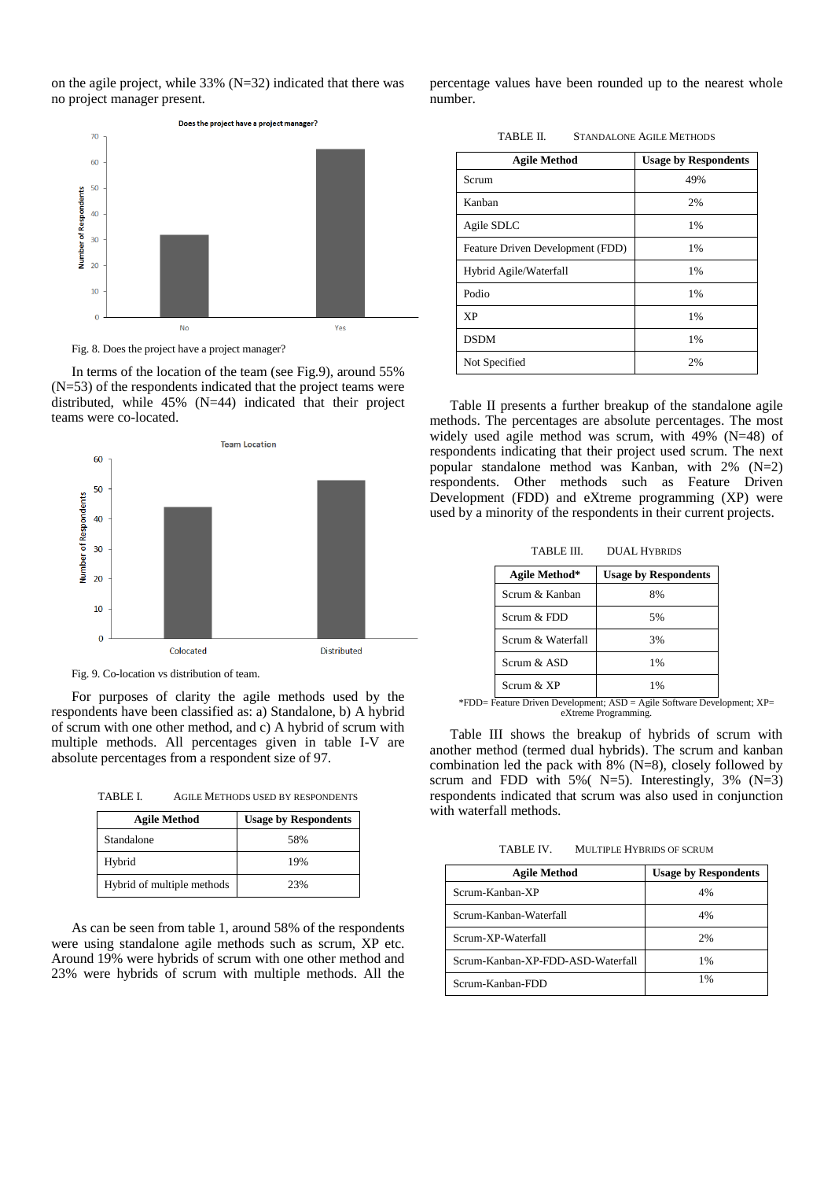on the agile project, while 33% (N=32) indicated that there was no project manager present.



Fig. 8. Does the project have a project manager?

In terms of the location of the team (see Fig.9), around 55% (N=53) of the respondents indicated that the project teams were distributed, while 45% (N=44) indicated that their project teams were co-located.



Fig. 9. Co-location vs distribution of team.

For purposes of clarity the agile methods used by the respondents have been classified as: a) Standalone, b) A hybrid of scrum with one other method, and c) A hybrid of scrum with multiple methods. All percentages given in table I-V are absolute percentages from a respondent size of 97.

TABLE I. AGILE METHODS USED BY RESPONDENTS

| <b>Agile Method</b>        | <b>Usage by Respondents</b> |
|----------------------------|-----------------------------|
| Standalone                 | .58%                        |
| Hybrid                     | 19%                         |
| Hybrid of multiple methods | 23%                         |

As can be seen from table 1, around 58% of the respondents were using standalone agile methods such as scrum, XP etc. Around 19% were hybrids of scrum with one other method and 23% were hybrids of scrum with multiple methods. All the

percentage values have been rounded up to the nearest whole number.

TABLE II. STANDALONE AGILE METHODS

| <b>Agile Method</b>              | <b>Usage by Respondents</b> |
|----------------------------------|-----------------------------|
| Scrum                            | 49%                         |
| Kanban                           | 2%                          |
| Agile SDLC                       | 1%                          |
| Feature Driven Development (FDD) | 1%                          |
| Hybrid Agile/Waterfall           | 1%                          |
| Podio                            | 1%                          |
| <b>XP</b>                        | $1\%$                       |
| <b>DSDM</b>                      | $1\%$                       |
| Not Specified                    | 2%                          |

Table II presents a further breakup of the standalone agile methods. The percentages are absolute percentages. The most widely used agile method was scrum, with 49% (N=48) of respondents indicating that their project used scrum. The next popular standalone method was Kanban, with 2% (N=2) respondents. Other methods such as Feature Driven Development (FDD) and eXtreme programming (XP) were used by a minority of the respondents in their current projects.

TABLE III. DUAL HYBRIDS

| Agile Method*     | <b>Usage by Respondents</b> |
|-------------------|-----------------------------|
| Scrum & Kanban    | 8%                          |
| $Scmm \& FDD$     | 5%                          |
| Scrum & Waterfall | 3%                          |
| $Scmm \& ASD$     | 1%                          |
| Scrum $&$ XP      | 1%                          |

\*FDD= Feature Driven Development; ASD = Agile Software Development; XP= eXtreme Programming.

Table III shows the breakup of hybrids of scrum with another method (termed dual hybrids). The scrum and kanban combination led the pack with 8% (N=8), closely followed by scrum and FDD with 5% ( $N=5$ ). Interestingly, 3% ( $N=3$ ) respondents indicated that scrum was also used in conjunction with waterfall methods.

TABLE IV. MULTIPLE HYBRIDS OF SCRUM

| <b>Agile Method</b>               | <b>Usage by Respondents</b> |
|-----------------------------------|-----------------------------|
| Scrum-Kanban-XP                   | 4%                          |
| Scrum-Kanban-Waterfall            | 4%                          |
| Scrum-XP-Waterfall                | 2%                          |
| Scrum-Kanban-XP-FDD-ASD-Waterfall | 1%                          |
| Scrum-Kanban-FDD                  | 1%                          |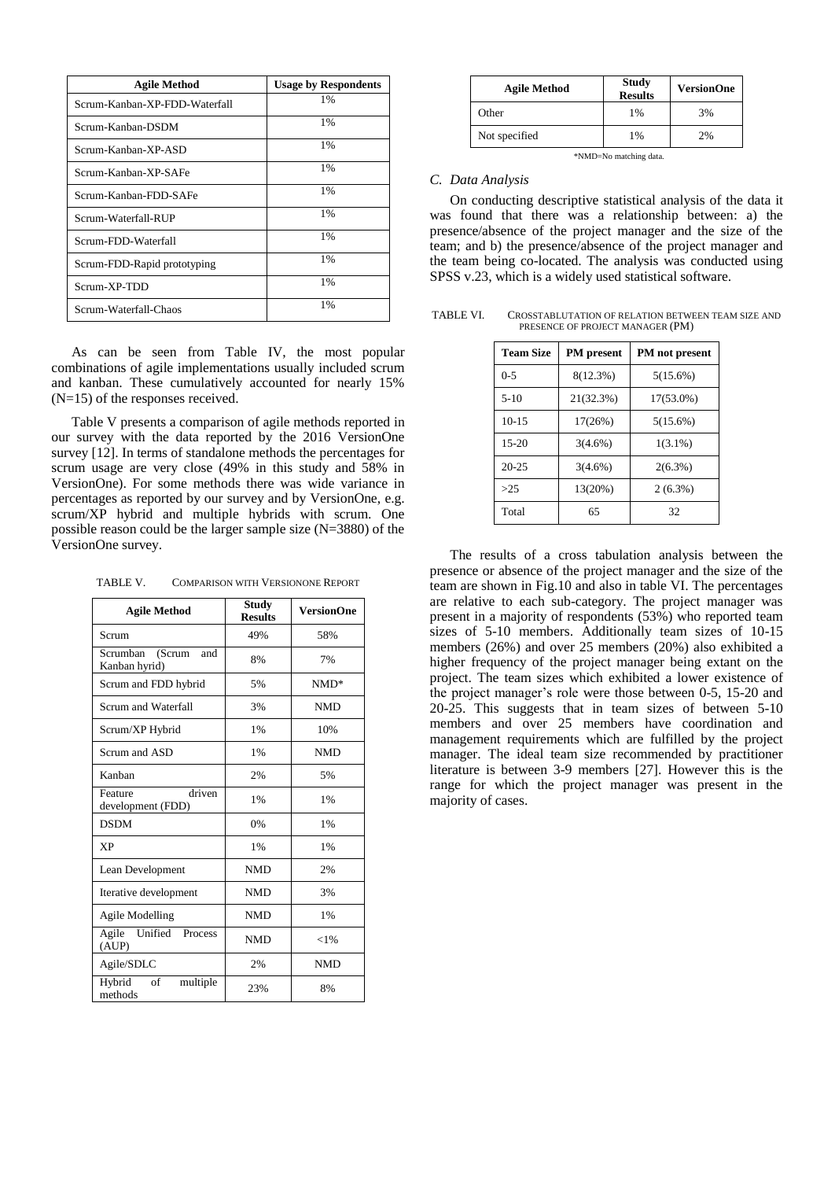| <b>Agile Method</b>           | <b>Usage by Respondents</b> |
|-------------------------------|-----------------------------|
| Scrum-Kanban-XP-FDD-Waterfall | 1%                          |
| Scrum-Kanban-DSDM             | $1\%$                       |
| Scrum-Kanban-XP-ASD           | $1\%$                       |
| Scrum-Kanban-XP-SAFe          | $1\%$                       |
| Scrum-Kanban-FDD-SAFe         | $1\%$                       |
| Scrum-Waterfall-RUP           | $1\%$                       |
| Scrum-FDD-Waterfall           | $1\%$                       |
| Scrum-FDD-Rapid prototyping   | $1\%$                       |
| Scrum-XP-TDD                  | $1\%$                       |
| Scrum-Waterfall-Chaos         | 1%                          |

As can be seen from Table IV, the most popular combinations of agile implementations usually included scrum and kanban. These cumulatively accounted for nearly 15% (N=15) of the responses received.

Table V presents a comparison of agile methods reported in our survey with the data reported by the 2016 VersionOne survey [12]. In terms of standalone methods the percentages for scrum usage are very close (49% in this study and 58% in VersionOne). For some methods there was wide variance in percentages as reported by our survey and by VersionOne, e.g. scrum/XP hybrid and multiple hybrids with scrum. One possible reason could be the larger sample size (N=3880) of the VersionOne survey.

TABLE V. COMPARISON WITH VERSIONONE REPORT

| <b>Agile Method</b>                        | Study<br><b>Results</b> | <b>VersionOne</b> |
|--------------------------------------------|-------------------------|-------------------|
| Scrum                                      | 49%                     | 58%               |
| Scrumban<br>(Scrum<br>and<br>Kanban hyrid) | 8%                      | 7%                |
| Scrum and FDD hybrid                       | 5%                      | $NMD*$            |
| Scrum and Waterfall                        | 3%                      | <b>NMD</b>        |
| Scrum/XP Hybrid                            | 1%                      | 10%               |
| Scrum and ASD                              | 1%                      | <b>NMD</b>        |
| Kanhan                                     | 2%                      | 5%                |
| driven<br>Feature<br>development (FDD)     | 1%                      | $1\%$             |
| <b>DSDM</b>                                | 0%                      | $1\%$             |
| <b>XP</b>                                  | 1%                      | $1\%$             |
| Lean Development                           | <b>NMD</b>              | 2%                |
| Iterative development                      | <b>NMD</b>              | 3%                |
| Agile Modelling                            | <b>NMD</b>              | $1\%$             |
| Unified Process<br>Agile<br>(AUP)          | <b>NMD</b>              | ${<}1\%$          |
| Agile/SDLC                                 | 2%                      | <b>NMD</b>        |
| Hybrid<br>of<br>multiple<br>methods        | 23%                     | 8%                |

| <b>Agile Method</b> | <b>Study</b><br><b>Results</b> | <b>VersionOne</b> |
|---------------------|--------------------------------|-------------------|
| Other               | $1\%$                          | 3%                |
| Not specified       | 1%                             | 2%                |

\*NMD=No matching data.

### *C. Data Analysis*

On conducting descriptive statistical analysis of the data it was found that there was a relationship between: a) the presence/absence of the project manager and the size of the team; and b) the presence/absence of the project manager and the team being co-located. The analysis was conducted using SPSS v.23, which is a widely used statistical software.

TABLE VI. CROSSTABLUTATION OF RELATION BETWEEN TEAM SIZE AND PRESENCE OF PROJECT MANAGER (PM)

| <b>Team Size</b> | <b>PM</b> present | PM not present |
|------------------|-------------------|----------------|
| $0 - 5$          | $8(12.3\%)$       | $5(15.6\%)$    |
| $5-10$           | 21(32.3%)         | 17(53.0%)      |
| $10 - 15$        | 17(26%)           | $5(15.6\%)$    |
| $15-20$          | $3(4.6\%)$        | $1(3.1\%)$     |
| $20 - 25$        | $3(4.6\%)$        | $2(6.3\%)$     |
| $>25$            | 13(20%)           | $2(6.3\%)$     |
| Total            | 65                | 32             |

The results of a cross tabulation analysis between the presence or absence of the project manager and the size of the team are shown in Fig.10 and also in table VI. The percentages are relative to each sub-category. The project manager was present in a majority of respondents (53%) who reported team sizes of 5-10 members. Additionally team sizes of 10-15 members (26%) and over 25 members (20%) also exhibited a higher frequency of the project manager being extant on the project. The team sizes which exhibited a lower existence of the project manager's role were those between 0-5, 15-20 and 20-25. This suggests that in team sizes of between 5-10 members and over 25 members have coordination and management requirements which are fulfilled by the project manager. The ideal team size recommended by practitioner literature is between 3-9 members [27]. However this is the range for which the project manager was present in the majority of cases.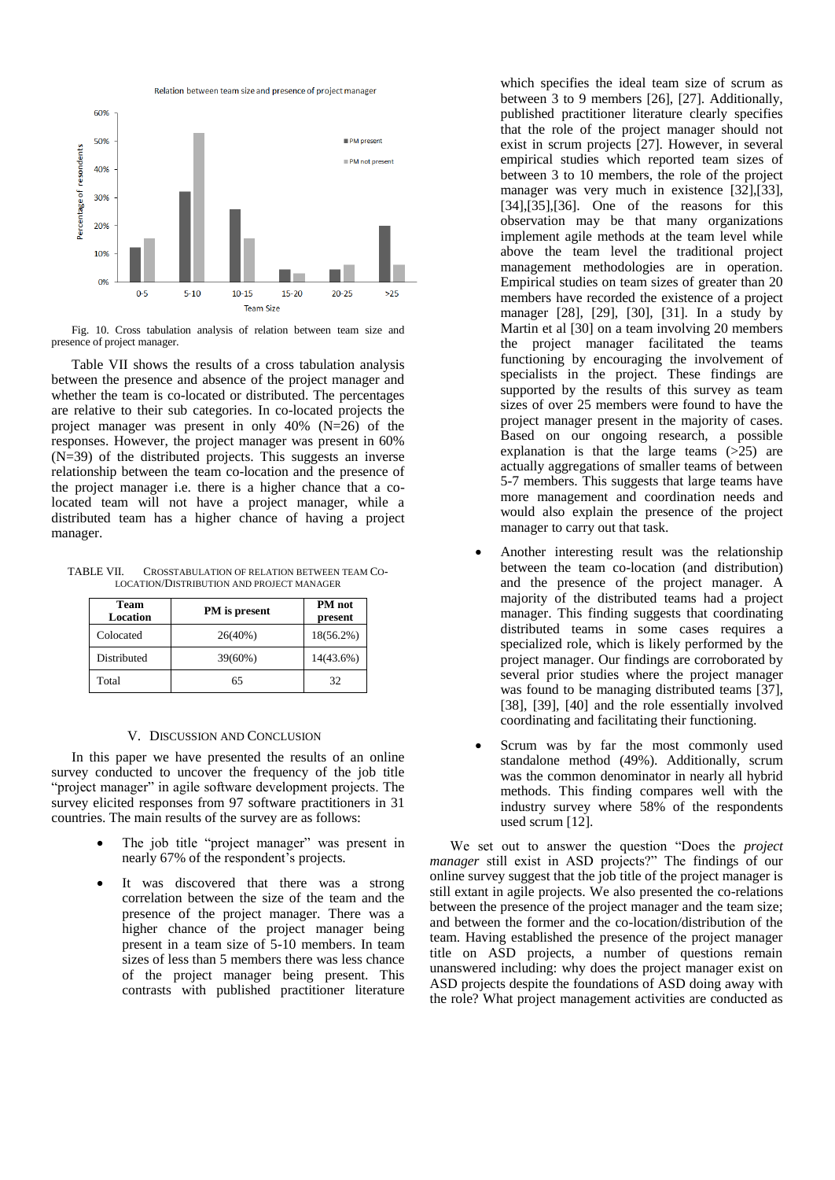Relation between team size and presence of project manage



Fig. 10. Cross tabulation analysis of relation between team size and presence of project manager.

Table VII shows the results of a cross tabulation analysis between the presence and absence of the project manager and whether the team is co-located or distributed. The percentages are relative to their sub categories. In co-located projects the project manager was present in only 40% (N=26) of the responses. However, the project manager was present in 60% (N=39) of the distributed projects. This suggests an inverse relationship between the team co-location and the presence of the project manager i.e. there is a higher chance that a colocated team will not have a project manager, while a distributed team has a higher chance of having a project manager.

TABLE VII. CROSSTABULATION OF RELATION BETWEEN TEAM CO-LOCATION/DISTRIBUTION AND PROJECT MANAGER

| <b>Team</b><br>Location | PM is present | <b>PM</b> not<br>present |
|-------------------------|---------------|--------------------------|
| Colocated               | 26(40%)       | $18(56.2\%)$             |
| Distributed             | 39(60%)       | 14(43.6%)                |
| Total                   | 65            | 32                       |

#### V. DISCUSSION AND CONCLUSION

In this paper we have presented the results of an online survey conducted to uncover the frequency of the job title "project manager" in agile software development projects. The survey elicited responses from 97 software practitioners in 31 countries. The main results of the survey are as follows:

- The job title "project manager" was present in nearly 67% of the respondent's projects.
- It was discovered that there was a strong correlation between the size of the team and the presence of the project manager. There was a higher chance of the project manager being present in a team size of 5-10 members. In team sizes of less than 5 members there was less chance of the project manager being present. This contrasts with published practitioner literature

which specifies the ideal team size of scrum as between 3 to 9 members [26], [27]. Additionally, published practitioner literature clearly specifies that the role of the project manager should not exist in scrum projects [27]. However, in several empirical studies which reported team sizes of between 3 to 10 members, the role of the project manager was very much in existence [32],[33], [34],[35],[36]. One of the reasons for this observation may be that many organizations implement agile methods at the team level while above the team level the traditional project management methodologies are in operation. Empirical studies on team sizes of greater than 20 members have recorded the existence of a project manager [28], [29], [30], [31]. In a study by Martin et al [30] on a team involving 20 members the project manager facilitated the teams functioning by encouraging the involvement of specialists in the project. These findings are supported by the results of this survey as team sizes of over 25 members were found to have the project manager present in the majority of cases. Based on our ongoing research, a possible explanation is that the large teams (>25) are actually aggregations of smaller teams of between 5-7 members. This suggests that large teams have more management and coordination needs and would also explain the presence of the project manager to carry out that task.

- Another interesting result was the relationship between the team co-location (and distribution) and the presence of the project manager. A majority of the distributed teams had a project manager. This finding suggests that coordinating distributed teams in some cases requires a specialized role, which is likely performed by the project manager. Our findings are corroborated by several prior studies where the project manager was found to be managing distributed teams [37], [38], [39], [40] and the role essentially involved coordinating and facilitating their functioning.
- Scrum was by far the most commonly used standalone method (49%). Additionally, scrum was the common denominator in nearly all hybrid methods. This finding compares well with the industry survey where 58% of the respondents used scrum [12].

We set out to answer the question "Does the *project manager* still exist in ASD projects?" The findings of our online survey suggest that the job title of the project manager is still extant in agile projects. We also presented the co-relations between the presence of the project manager and the team size; and between the former and the co-location/distribution of the team. Having established the presence of the project manager title on ASD projects, a number of questions remain unanswered including: why does the project manager exist on ASD projects despite the foundations of ASD doing away with the role? What project management activities are conducted as